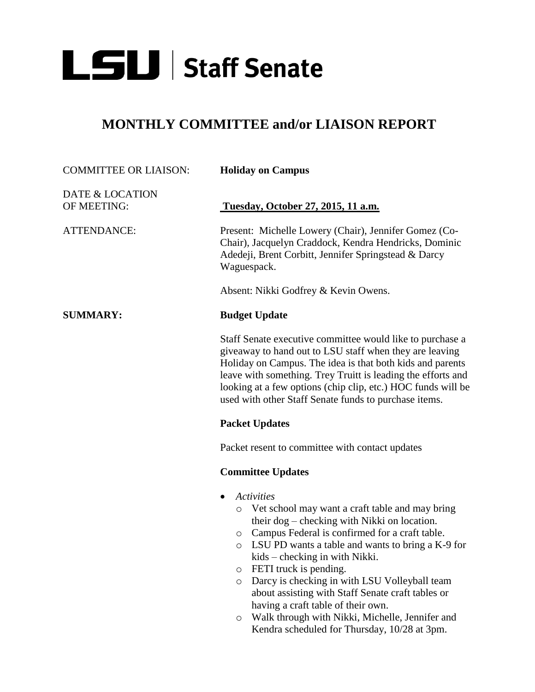

## **MONTHLY COMMITTEE and/or LIAISON REPORT**

| <b>COMMITTEE OR LIAISON:</b>   | <b>Holiday on Campus</b>                                                                                                                                                                                                                                                                                                                                                                                                                                                                                                                     |
|--------------------------------|----------------------------------------------------------------------------------------------------------------------------------------------------------------------------------------------------------------------------------------------------------------------------------------------------------------------------------------------------------------------------------------------------------------------------------------------------------------------------------------------------------------------------------------------|
| DATE & LOCATION<br>OF MEETING: | Tuesday, October 27, 2015, 11 a.m.                                                                                                                                                                                                                                                                                                                                                                                                                                                                                                           |
| <b>ATTENDANCE:</b>             | Present: Michelle Lowery (Chair), Jennifer Gomez (Co-<br>Chair), Jacquelyn Craddock, Kendra Hendricks, Dominic<br>Adedeji, Brent Corbitt, Jennifer Springstead & Darcy<br>Waguespack.                                                                                                                                                                                                                                                                                                                                                        |
|                                | Absent: Nikki Godfrey & Kevin Owens.                                                                                                                                                                                                                                                                                                                                                                                                                                                                                                         |
| <b>SUMMARY:</b>                | <b>Budget Update</b>                                                                                                                                                                                                                                                                                                                                                                                                                                                                                                                         |
|                                | Staff Senate executive committee would like to purchase a<br>giveaway to hand out to LSU staff when they are leaving<br>Holiday on Campus. The idea is that both kids and parents<br>leave with something. Trey Truitt is leading the efforts and<br>looking at a few options (chip clip, etc.) HOC funds will be<br>used with other Staff Senate funds to purchase items.                                                                                                                                                                   |
|                                | <b>Packet Updates</b>                                                                                                                                                                                                                                                                                                                                                                                                                                                                                                                        |
|                                | Packet resent to committee with contact updates                                                                                                                                                                                                                                                                                                                                                                                                                                                                                              |
|                                | <b>Committee Updates</b>                                                                                                                                                                                                                                                                                                                                                                                                                                                                                                                     |
|                                | <b>Activities</b><br>Vet school may want a craft table and may bring<br>$\circ$<br>their dog – checking with Nikki on location.<br>Campus Federal is confirmed for a craft table.<br>$\circ$<br>LSU PD wants a table and wants to bring a K-9 for<br>$\circ$<br>kids – checking in with Nikki.<br>FETI truck is pending.<br>O<br>Darcy is checking in with LSU Volleyball team<br>$\circ$<br>about assisting with Staff Senate craft tables or<br>having a craft table of their own.<br>Walk through with Nikki, Michelle, Jennifer and<br>O |

Kendra scheduled for Thursday, 10/28 at 3pm.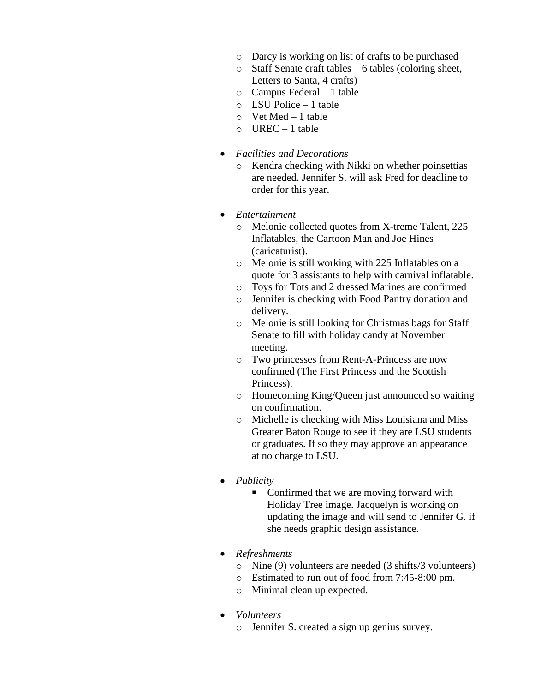- o Darcy is working on list of crafts to be purchased
- o Staff Senate craft tables 6 tables (coloring sheet, Letters to Santa, 4 crafts)
- o Campus Federal 1 table
- o LSU Police 1 table
- o Vet Med 1 table
- $O$  UREC 1 table
- *Facilities and Decorations*
	- o Kendra checking with Nikki on whether poinsettias are needed. Jennifer S. will ask Fred for deadline to order for this year.
- *Entertainment*
	- o Melonie collected quotes from X-treme Talent, 225 Inflatables, the Cartoon Man and Joe Hines (caricaturist).
	- o Melonie is still working with 225 Inflatables on a quote for 3 assistants to help with carnival inflatable.
	- o Toys for Tots and 2 dressed Marines are confirmed
	- o Jennifer is checking with Food Pantry donation and delivery.
	- o Melonie is still looking for Christmas bags for Staff Senate to fill with holiday candy at November meeting.
	- o Two princesses from Rent-A-Princess are now confirmed (The First Princess and the Scottish Princess).
	- o Homecoming King/Queen just announced so waiting on confirmation.
	- o Michelle is checking with Miss Louisiana and Miss Greater Baton Rouge to see if they are LSU students or graduates. If so they may approve an appearance at no charge to LSU.
- *Publicity*
	- Confirmed that we are moving forward with Holiday Tree image. Jacquelyn is working on updating the image and will send to Jennifer G. if she needs graphic design assistance.
- *Refreshments*
	- o Nine (9) volunteers are needed (3 shifts/3 volunteers)
	- o Estimated to run out of food from 7:45-8:00 pm.
	- o Minimal clean up expected.
- *Volunteers*
	- o Jennifer S. created a sign up genius survey.